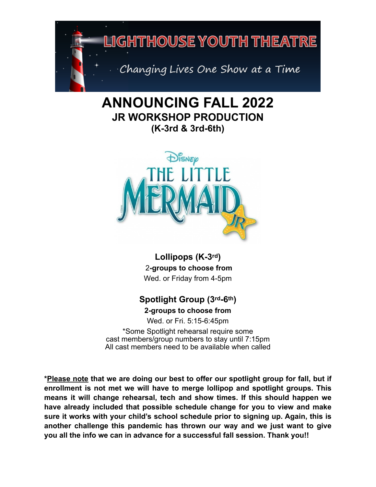

# **ANNOUNCING FALL 2022 JR WORKSHOP PRODUCTION (K-3rd & 3rd-6th)**



**Lollipops (K-3rd)** 2**-groups to choose from**  Wed. or Friday from 4-5pm

# **Spotlight Group (3rd-6th)**

**2-groups to choose from**

Wed. or Fri. 5:15-6:45pm

\*Some Spotlight rehearsal require some cast members/group numbers to stay until 7:15pm All cast members need to be available when called

**\*Please note that we are doing our best to offer our spotlight group for fall, but if enrollment is not met we will have to merge lollipop and spotlight groups. This means it will change rehearsal, tech and show times. If this should happen we have already included that possible schedule change for you to view and make sure it works with your child's school schedule prior to signing up. Again, this is another challenge this pandemic has thrown our way and we just want to give you all the info we can in advance for a successful fall session. Thank you!!**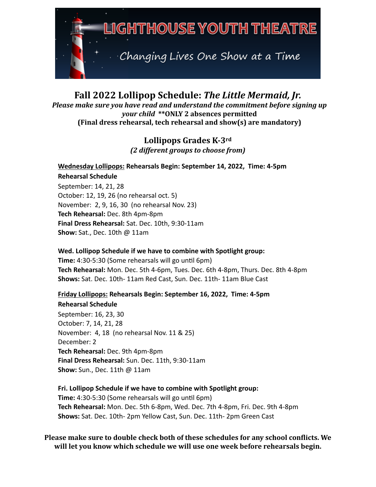

## **Fall 2022 Lollipop Schedule: The Little Mermaid, Jr.** Please make sure you have read and understand the commitment before signing up *your child* \*\*ONLY 2 absences permitted **(Final dress rehearsal, tech rehearsal and show(s) are mandatory)**

# Lollipops Grades K-3rd *(2 different groups to choose from)*

### **Wednesday Lollipops: Rehearsals Begin: September 14, 2022, Time: 4-5pm Rehearsal Schedule** September: 14, 21, 28 October: 12, 19, 26 (no rehearsal oct. 5) November: 2, 9, 16, 30 (no rehearsal Nov. 23) **Tech Rehearsal:** Dec. 8th 4pm-8pm

**Final Dress Rehearsal:** Sat. Dec. 10th, 9:30-11am

**Show:** Sat., Dec. 10th @ 11am

**Wed. Lollipop Schedule if we have to combine with Spotlight group: Time:** 4:30-5:30 (Some rehearsals will go until 6pm) **Tech Rehearsal:** Mon. Dec. 5th 4-6pm, Tues. Dec. 6th 4-8pm, Thurs. Dec. 8th 4-8pm **Shows:** Sat. Dec. 10th- 11am Red Cast, Sun. Dec. 11th- 11am Blue Cast

**Friday Lollipops: Rehearsals Begin: September 16, 2022, Time: 4-5pm Rehearsal Schedule**

September: 16, 23, 30 October: 7, 14, 21, 28 November: 4, 18 (no rehearsal Nov. 11 & 25) December: 2 **Tech Rehearsal:** Dec. 9th 4pm-8pm **Final Dress Rehearsal:** Sun. Dec. 11th, 9:30-11am **Show:** Sun., Dec. 11th @ 11am

**Fri. Lollipop Schedule if we have to combine with Spotlight group: Time:** 4:30-5:30 (Some rehearsals will go until 6pm) **Tech Rehearsal:** Mon. Dec. 5th 6-8pm, Wed. Dec. 7th 4-8pm, Fri. Dec. 9th 4-8pm **Shows:** Sat. Dec. 10th- 2pm Yellow Cast, Sun. Dec. 11th- 2pm Green Cast

**Please make sure to double check both of these schedules for any school conflicts. We** will let you know which schedule we will use one week before rehearsals begin.